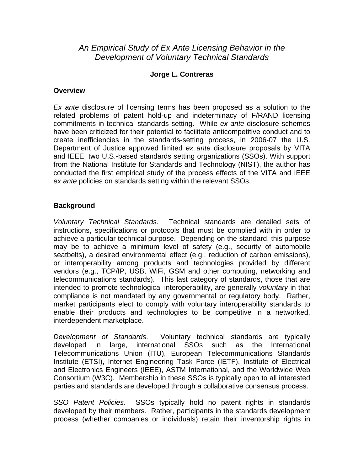# *An Empirical Study of Ex Ante Licensing Behavior in the Development of Voluntary Technical Standards*

### **Jorge L. Contreras**

#### **Overview**

*Ex ante* disclosure of licensing terms has been proposed as a solution to the related problems of patent hold-up and indeterminacy of F/RAND licensing commitments in technical standards setting. While *ex ante* disclosure schemes have been criticized for their potential to facilitate anticompetitive conduct and to create inefficiencies in the standards-setting process, in 2006-07 the U.S. Department of Justice approved limited *ex ante* disclosure proposals by VITA and IEEE, two U.S.-based standards setting organizations (SSOs). With support from the National Institute for Standards and Technology (NIST), the author has conducted the first empirical study of the process effects of the VITA and IEEE *ex ante* policies on standards setting within the relevant SSOs.

## **Background**

*Voluntary Technical Standards*. Technical standards are detailed sets of instructions, specifications or protocols that must be complied with in order to achieve a particular technical purpose. Depending on the standard, this purpose may be to achieve a minimum level of safety (e.g., security of automobile seatbelts), a desired environmental effect (e.g., reduction of carbon emissions), or interoperability among products and technologies provided by different vendors (e.g., TCP/IP, USB, WiFi, GSM and other computing, networking and telecommunications standards). This last category of standards, those that are intended to promote technological interoperability, are generally *voluntary* in that compliance is not mandated by any governmental or regulatory body. Rather, market participants elect to comply with voluntary interoperability standards to enable their products and technologies to be competitive in a networked, interdependent marketplace.

*Development of Standards*. Voluntary technical standards are typically developed in large, international SSOs such as the International Telecommunications Union (ITU), European Telecommunications Standards Institute (ETSI), Internet Engineering Task Force (IETF), Institute of Electrical and Electronics Engineers (IEEE), ASTM International, and the Worldwide Web Consortium (W3C). Membership in these SSOs is typically open to all interested parties and standards are developed through a collaborative consensus process.

*SSO Patent Policies*. SSOs typically hold no patent rights in standards developed by their members. Rather, participants in the standards development process (whether companies or individuals) retain their inventorship rights in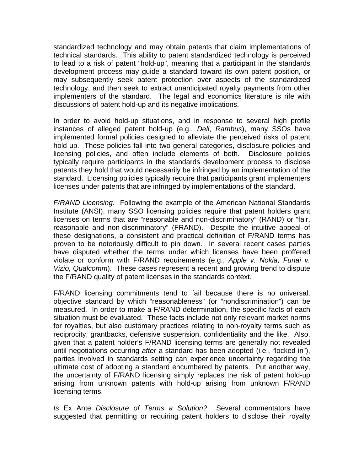standardized technology and may obtain patents that claim implementations of technical standards. This ability to patent standardized technology is perceived to lead to a risk of patent "hold-up", meaning that a participant in the standards development process may guide a standard toward its own patent position, or may subsequently seek patent protection over aspects of the standardized technology, and then seek to extract unanticipated royalty payments from other implementers of the standard. The legal and economics literature is rife with discussions of patent hold-up and its negative implications.

In order to avoid hold-up situations, and in response to several high profile instances of alleged patent hold-up (e.g., *Dell*, *Rambus*), many SSOs have implemented formal policies designed to alleviate the perceived risks of patent hold-up. These policies fall into two general categories, disclosure policies and licensing policies, and often include elements of both. Disclosure policies typically require participants in the standards development process to disclose patents they hold that would necessarily be infringed by an implementation of the standard. Licensing policies typically require that participants grant implementers licenses under patents that are infringed by implementations of the standard.

*F/RAND Licensing.* Following the example of the American National Standards Institute (ANSI), many SSO licensing policies require that patent holders grant licenses on terms that are "reasonable and non-discriminatory" (RAND) or "fair, reasonable and non-discriminatory" (FRAND). Despite the intuitive appeal of these designations, a consistent and practical definition of F/RAND terms has proven to be notoriously difficult to pin down. In several recent cases parties have disputed whether the terms under which licenses have been proffered violate or conform with F/RAND requirements (e.g., *Apple v. Nokia, Funai v. Vizio, Qualcomm*). These cases represent a recent and growing trend to dispute the F/RAND quality of patent licenses in the standards context.

F/RAND licensing commitments tend to fail because there is no universal, objective standard by which "reasonableness" (or "nondiscrimination") can be measured. In order to make a F/RAND determination, the specific facts of each situation must be evaluated. These facts include not only relevant market norms for royalties, but also customary practices relating to non-royalty terms such as reciprocity, grantbacks, defensive suspension, confidentiality and the like. Also, given that a patent holder's F/RAND licensing terms are generally not revealed until negotiations occurring *after* a standard has been adopted (i.e., "locked-in"), parties involved in standards setting can experience uncertainty regarding the ultimate cost of adopting a standard encumbered by patents. Put another way, the uncertainty of F/RAND licensing simply replaces the risk of patent hold-up arising from unknown patents with hold-up arising from unknown F/RAND licensing terms.

*Is* Ex Ante *Disclosure of Terms a Solution?* Several commentators have suggested that permitting or requiring patent holders to disclose their royalty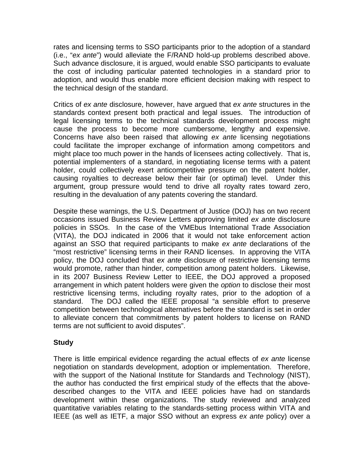rates and licensing terms to SSO participants prior to the adoption of a standard (i.e., "*ex ante*") would alleviate the F/RAND hold-up problems described above. Such advance disclosure, it is argued, would enable SSO participants to evaluate the cost of including particular patented technologies in a standard prior to adoption, and would thus enable more efficient decision making with respect to the technical design of the standard.

Critics of *ex ante* disclosure, however, have argued that *ex ante* structures in the standards context present both practical and legal issues. The introduction of legal licensing terms to the technical standards development process might cause the process to become more cumbersome, lengthy and expensive. Concerns have also been raised that allowing *ex ante* licensing negotiations could facilitate the improper exchange of information among competitors and might place too much power in the hands of licensees acting collectively. That is, potential implementers of a standard, in negotiating license terms with a patent holder, could collectively exert anticompetitive pressure on the patent holder, causing royalties to decrease below their fair (or optimal) level. Under this argument, group pressure would tend to drive all royalty rates toward zero, resulting in the devaluation of any patents covering the standard.

Despite these warnings, the U.S. Department of Justice (DOJ) has on two recent occasions issued Business Review Letters approving limited *ex ante* disclosure policies in SSOs. In the case of the VMEbus International Trade Association (VITA), the DOJ indicated in 2006 that it would not take enforcement action against an SSO that required participants to make *ex ante* declarations of the "most restrictive" licensing terms in their RAND licenses. In approving the VITA policy, the DOJ concluded that *ex ante* disclosure of restrictive licensing terms would promote, rather than hinder, competition among patent holders. Likewise, in its 2007 Business Review Letter to IEEE, the DOJ approved a proposed arrangement in which patent holders were given the *option* to disclose their most restrictive licensing terms, including royalty rates, prior to the adoption of a standard. The DOJ called the IEEE proposal "a sensible effort to preserve competition between technological alternatives before the standard is set in order to alleviate concern that commitments by patent holders to license on RAND terms are not sufficient to avoid disputes".

### **Study**

There is little empirical evidence regarding the actual effects of *ex ante* license negotiation on standards development, adoption or implementation. Therefore, with the support of the National Institute for Standards and Technology (NIST), the author has conducted the first empirical study of the effects that the abovedescribed changes to the VITA and IEEE policies have had on standards development within these organizations. The study reviewed and analyzed quantitative variables relating to the standards-setting process within VITA and IEEE (as well as IETF, a major SSO without an express *ex ante* policy) over a